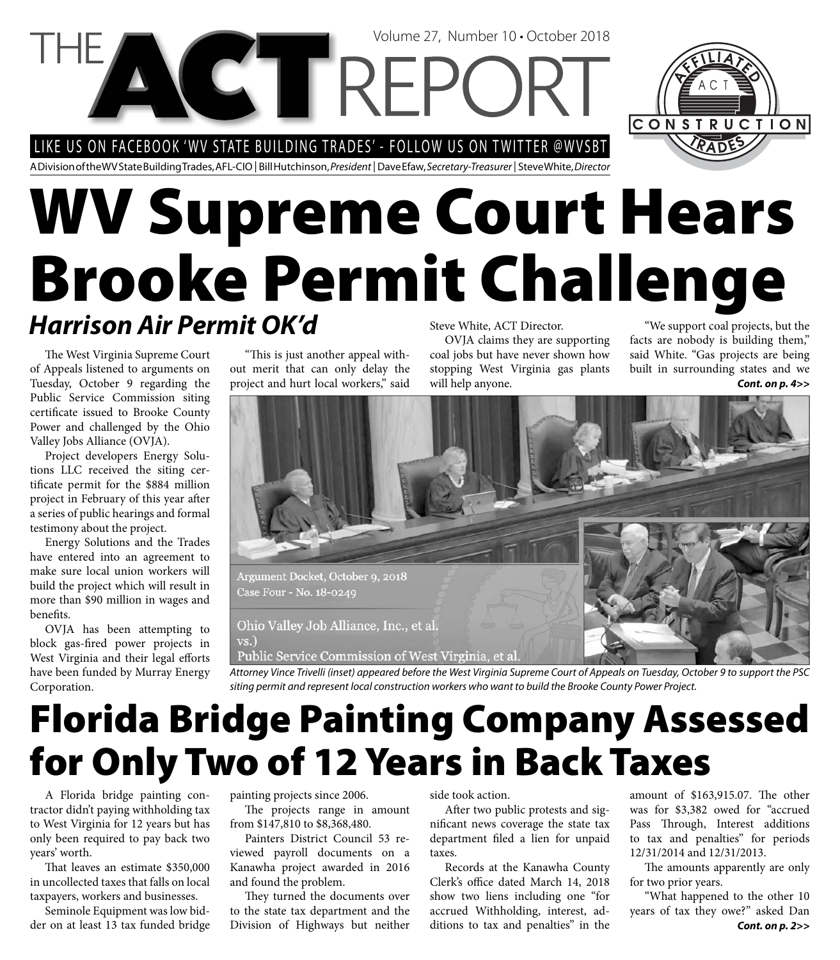LIKE US ON FACEBOOK 'WV STATE BUILDING TRADES' - FOLLOW US ON TWITTER @WVSBT



A Division of the WV State Building Trades, AFL-CIO | Bill Hutchinson, President | Dave Efaw, Secretary-Treasurer | Steve White, Director

**NGT REPC** 

## **WV Supreme Court Hears Brooke Permit Challenge** Steve White, ACT Director. *Harrison Air Permit OK'd*

The West Virginia Supreme Court of Appeals listened to arguments on Tuesday, October 9 regarding the Public Service Commission siting certificate issued to Brooke County Power and challenged by the Ohio Valley Jobs Alliance (OVJA).

Project developers Energy Solutions LLC received the siting certificate permit for the \$884 million project in February of this year after a series of public hearings and formal testimony about the project.

Energy Solutions and the Trades have entered into an agreement to make sure local union workers will build the project which will result in more than \$90 million in wages and benefits.

OVJA has been attempting to block gas-fired power projects in West Virginia and their legal efforts have been funded by Murray Energy Corporation.

"This is just another appeal without merit that can only delay the project and hurt local workers," said

OVJA claims they are supporting coal jobs but have never shown how stopping West Virginia gas plants will help anyone.

Volume 27, Number 10 • October 2018

"We support coal projects, but the facts are nobody is building them," said White. "Gas projects are being built in surrounding states and we *Cont. on p. 4>>*



Public Service Commission of West Virginia, et al.

Attorney Vince Trivelli (inset) appeared before the West Virginia Supreme Court of Appeals on Tuesday, October 9 to support the PSC siting permit and represent local construction workers who want to build the Brooke County Power Project.

# **Florida Bridge Painting Company Assessed for Only Two of 12 Years in Back Taxes**

A Florida bridge painting contractor didn't paying withholding tax to West Virginia for 12 years but has only been required to pay back two years' worth.

That leaves an estimate \$350,000 in uncollected taxes that falls on local taxpayers, workers and businesses.

Seminole Equipment was low bidder on at least 13 tax funded bridge painting projects since 2006.

The projects range in amount from \$147,810 to \$8,368,480.

Painters District Council 53 reviewed payroll documents on a Kanawha project awarded in 2016 and found the problem.

They turned the documents over to the state tax department and the Division of Highways but neither

side took action.

After two public protests and significant news coverage the state tax department filed a lien for unpaid taxes.

Records at the Kanawha County Clerk's office dated March 14, 2018 show two liens including one "for accrued Withholding, interest, additions to tax and penalties" in the

amount of \$163,915.07. The other was for \$3,382 owed for "accrued Pass Through, Interest additions to tax and penalties" for periods 12/31/2014 and 12/31/2013.

The amounts apparently are only for two prior years.

"What happened to the other 10 years of tax they owe?" asked Dan *Cont. on p. 2>>*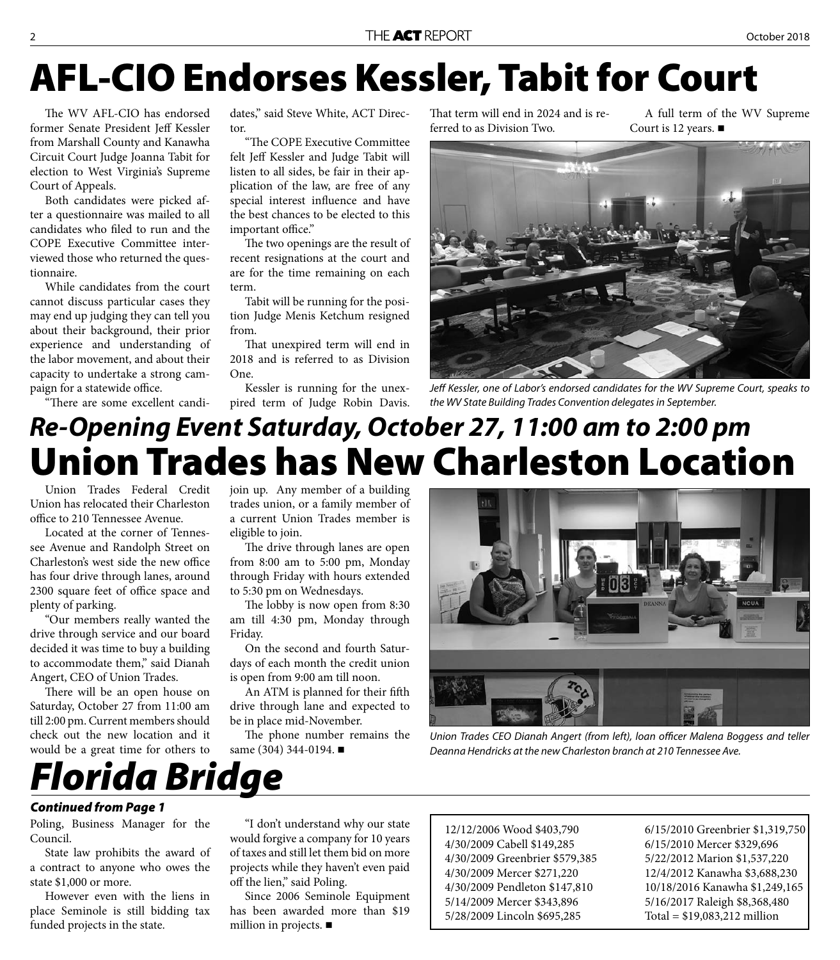# **AFL-CIO Endorses Kessler, Tabit for Court**

The WV AFL-CIO has endorsed former Senate President Jeff Kessler from Marshall County and Kanawha Circuit Court Judge Joanna Tabit for election to West Virginia's Supreme Court of Appeals.

Both candidates were picked after a questionnaire was mailed to all candidates who filed to run and the COPE Executive Committee interviewed those who returned the questionnaire.

While candidates from the court cannot discuss particular cases they may end up judging they can tell you about their background, their prior experience and understanding of the labor movement, and about their capacity to undertake a strong campaign for a statewide office.

"There are some excellent candi-

dates," said Steve White, ACT Director.

"The COPE Executive Committee felt Jeff Kessler and Judge Tabit will listen to all sides, be fair in their application of the law, are free of any special interest influence and have the best chances to be elected to this important office."

The two openings are the result of recent resignations at the court and are for the time remaining on each term.

Tabit will be running for the position Judge Menis Ketchum resigned from.

That unexpired term will end in 2018 and is referred to as Division One.

Kessler is running for the unexpired term of Judge Robin Davis. That term will end in 2024 and is referred to as Division Two.

A full term of the WV Supreme Court is 12 years. ■



Jeff Kessler, one of Labor's endorsed candidates for the WV Supreme Court, speaks to the WV State Building Trades Convention delegates in September.

## **Union Trades has New Charleston Location** *Re-Opening Event Saturday, October 27, 11:00 am to 2:00 pm*

Union Trades Federal Credit Union has relocated their Charleston office to 210 Tennessee Avenue.

Located at the corner of Tennessee Avenue and Randolph Street on Charleston's west side the new office has four drive through lanes, around 2300 square feet of office space and plenty of parking.

"Our members really wanted the drive through service and our board decided it was time to buy a building to accommodate them," said Dianah Angert, CEO of Union Trades.

There will be an open house on Saturday, October 27 from 11:00 am till 2:00 pm. Current members should check out the new location and it would be a great time for others to

join up. Any member of a building trades union, or a family member of a current Union Trades member is eligible to join.

The drive through lanes are open from 8:00 am to 5:00 pm, Monday through Friday with hours extended to 5:30 pm on Wednesdays.

The lobby is now open from 8:30 am till 4:30 pm, Monday through Friday.

On the second and fourth Saturdays of each month the credit union is open from 9:00 am till noon.

An ATM is planned for their fifth drive through lane and expected to be in place mid-November.

The phone number remains the same (304) 344-0194. ■



Union Trades CEO Dianah Angert (from left), loan officer Malena Boggess and teller Deanna Hendricks at the new Charleston branch at 210 Tennessee Ave.

### *Continued from Page 1*

Poling, Business Manager for the Council.

*Florida Bridge*

State law prohibits the award of a contract to anyone who owes the state \$1,000 or more.

However even with the liens in place Seminole is still bidding tax funded projects in the state.

"I don't understand why our state would forgive a company for 10 years of taxes and still let them bid on more projects while they haven't even paid off the lien," said Poling.

Since 2006 Seminole Equipment has been awarded more than \$19 million in projects.

12/12/2006 Wood \$403,790 4/30/2009 Cabell \$149,285 4/30/2009 Greenbrier \$579,385 4/30/2009 Mercer \$271,220 4/30/2009 Pendleton \$147,810 5/14/2009 Mercer \$343,896 5/28/2009 Lincoln \$695,285

6/15/2010 Greenbrier \$1,319,750 6/15/2010 Mercer \$329,696 5/22/2012 Marion \$1,537,220 12/4/2012 Kanawha \$3,688,230 10/18/2016 Kanawha \$1,249,165 5/16/2017 Raleigh \$8,368,480 Total = \$19,083,212 million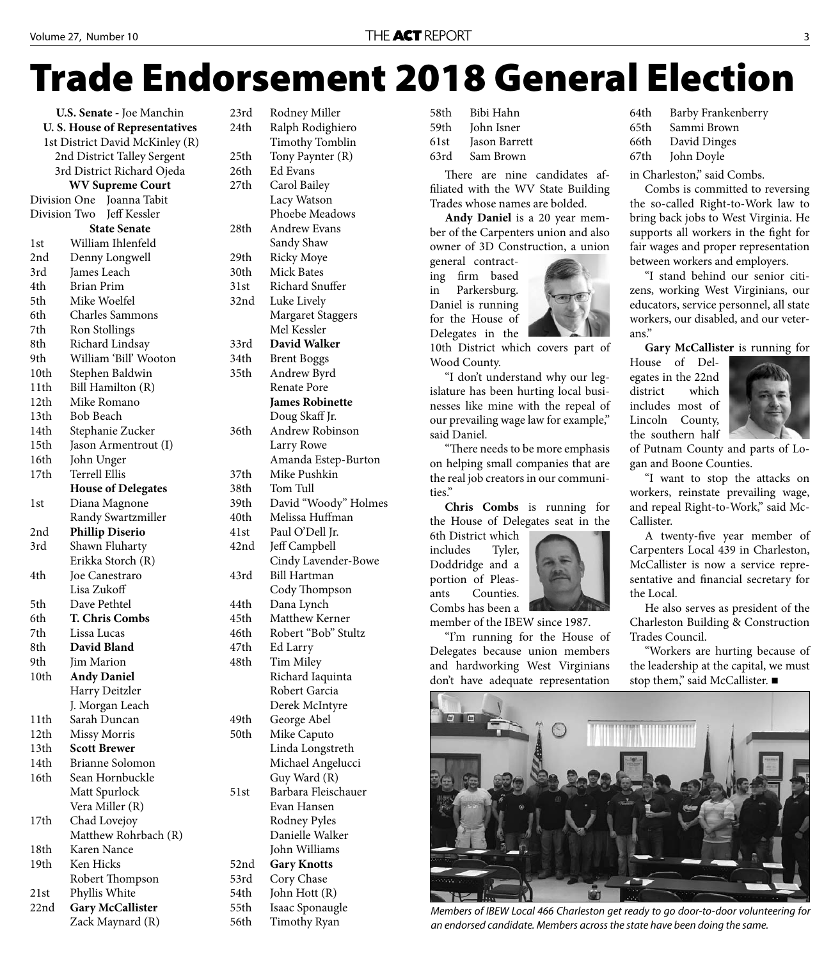# **Trade Endorsement 2018 General Election**

**U.S. Senate -** Joe Manchin **U. S. House of Representatives**  1st District David McKinley (R) 2nd District Talley Sergent 3rd District Richard Ojeda **WV Supreme Court**  Division One Joanna Tabit Division Two Jeff Kessler **State Senate** 1st William Ihlenfeld 2nd Denny Longwell 3rd James Leach 4th Brian Prim 5th Mike Woelfel 6th Charles Sammons 7th Ron Stollings 8th Richard Lindsay 9th William 'Bill' Wooton 10th Stephen Baldwin 11th Bill Hamilton (R) 12th Mike Romano 13th Bob Beach 14th Stephanie Zucker 15th Jason Armentrout (I) 16th John Unger 17th Terrell Ellis  **House of Delegates** 1st Diana Magnone Randy Swartzmiller 2nd **Phillip Diserio** 3rd Shawn Fluharty Erikka Storch (R) 4th Joe Canestraro Lisa Zukoff 5th Dave Pethtel 6th **T. Chris Combs** 7th Lissa Lucas 8th **David Bland** 9th Iim Marion 10th **Andy Daniel** Harry Deitzler J. Morgan Leach 11th Sarah Duncan 12th Missy Morris 13th **Scott Brewer** 14th Brianne Solomon 16th Sean Hornbuckle Matt Spurlock Vera Miller (R) 17th Chad Lovejoy Matthew Rohrbach (R) 18th Karen Nance 19th Ken Hicks Robert Thompson 21st Phyllis White 22nd **Gary McCallister** Zack Maynard (R)

23rd Rodney Miller 24th Ralph Rodighiero Timothy Tomblin 25th Tony Paynter (R) 26th Ed Evans 27th Carol Bailey Lacy Watson Phoebe Meadows 28th Andrew Evans Sandy Shaw 29th Ricky Moye 30th Mick Bates 31st Richard Snuffer 32nd Luke Lively Margaret Staggers Mel Kessler 33rd **David Walker** 34th Brent Boggs 35th Andrew Byrd Renate Pore **James Robinette** Doug Skaff Jr. 36th Andrew Robinson Larry Rowe Amanda Estep-Burton 37th Mike Pushkin 38th Tom Tull 39th David "Woody" Holmes 40th Melissa Huffman 41st Paul O'Dell Jr. 42nd Jeff Campbell Cindy Lavender-Bowe 43rd Bill Hartman Cody Thompson 44th Dana Lynch 45th Matthew Kerner 46th Robert "Bob" Stultz 47th Ed Larry 48th Tim Miley Richard Iaquinta Robert Garcia Derek McIntyre 49th George Abel 50th Mike Caputo Linda Longstreth Michael Angelucci Guy Ward (R) 51st Barbara Fleischauer Evan Hansen Rodney Pyles Danielle Walker John Williams 52nd **Gary Knotts** 53rd Cory Chase 54th John Hott (R) 55th Isaac Sponaugle

56th Timothy Ryan

58th Bibi Hahn 59th Iohn Isner 61st Jason Barrett 63rd Sam Brown

There are nine candidates affiliated with the WV State Building Trades whose names are bolded.

**Andy Daniel** is a 20 year member of the Carpenters union and also owner of 3D Construction, a union

general contracting firm based in Parkersburg. Daniel is running for the House of Delegates in the

10th District which covers part of Wood County.

"I don't understand why our legislature has been hurting local businesses like mine with the repeal of our prevailing wage law for example," said Daniel.

"There needs to be more emphasis on helping small companies that are the real job creators in our communities."

**Chris Combs** is running for the House of Delegates seat in the

6th District which includes Tyler, Doddridge and a portion of Pleasants Counties. Combs has been a

member of the IBEW since 1987.

"I'm running for the House of Delegates because union members and hardworking West Virginians don't have adequate representation

| 64th | Barby Frankenberry |
|------|--------------------|
| 65th | Sammi Brown        |
| 66th | David Dinges       |
| 67th | John Doyle         |
|      |                    |

in Charleston," said Combs.

Combs is committed to reversing the so-called Right-to-Work law to bring back jobs to West Virginia. He supports all workers in the fight for fair wages and proper representation between workers and employers.

"I stand behind our senior citizens, working West Virginians, our educators, service personnel, all state workers, our disabled, and our veterans."

**Gary McCallister** is running for

House of Delegates in the 22nd district which includes most of Lincoln County, the southern half



of Putnam County and parts of Logan and Boone Counties.

"I want to stop the attacks on workers, reinstate prevailing wage, and repeal Right-to-Work," said Mc-Callister.

A twenty-five year member of Carpenters Local 439 in Charleston, McCallister is now a service representative and financial secretary for the Local.

He also serves as president of the Charleston Building & Construction Trades Council.

"Workers are hurting because of the leadership at the capital, we must stop them," said McCallister.



Members of IBEW Local 466 Charleston get ready to go door-to-door volunteering for an endorsed candidate. Members across the state have been doing the same.